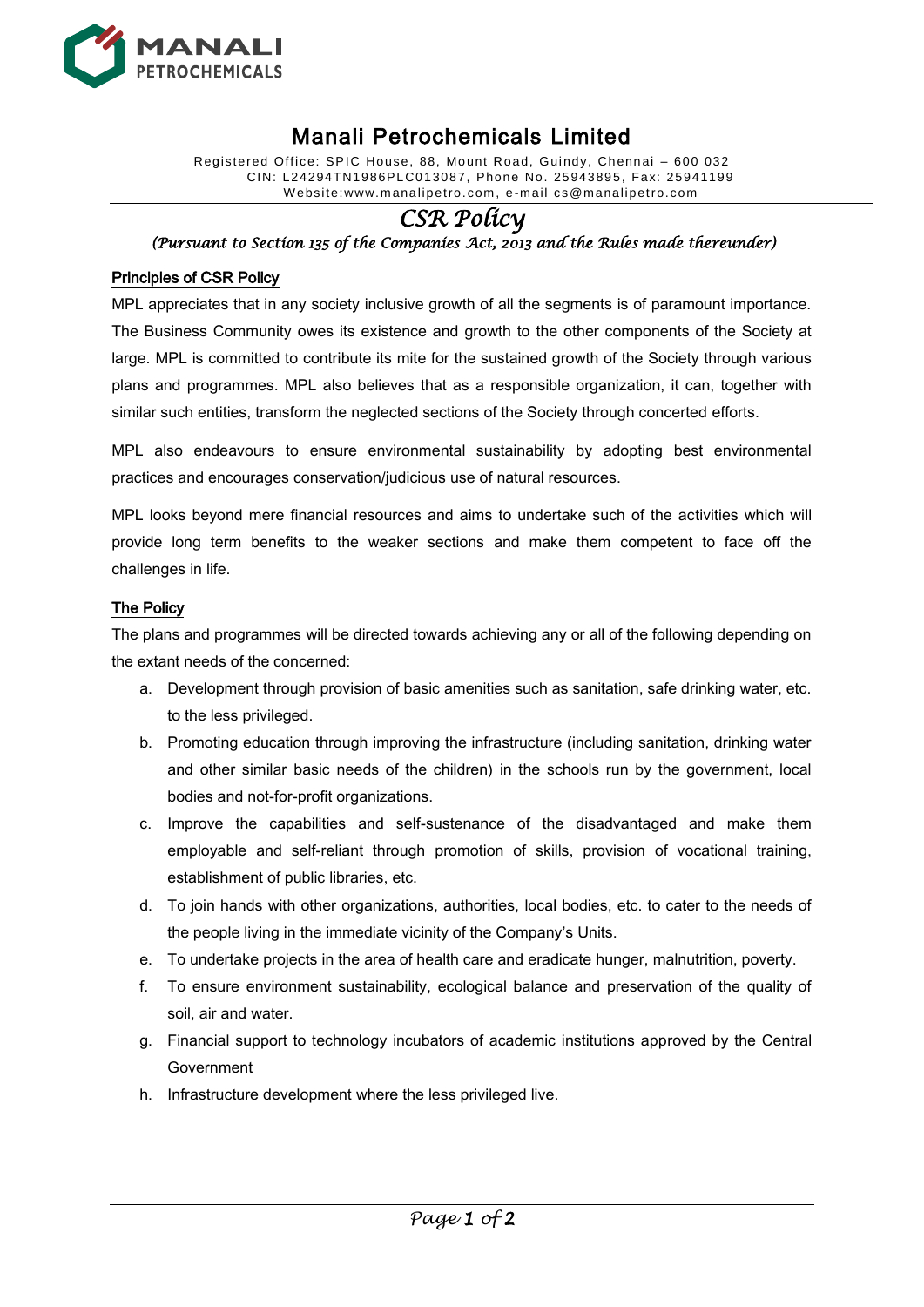

# Manali Petrochemicals Limited

Registered Office: SPIC House, 88, Mount Road, Guindy, Chennai – 600 032 CIN: L24294TN1986PLC013087, Phone No. 25943895, Fax: 25941199 W ebsite:www.manalipetro. com, e -mail cs@manalipetro.com

# *CSR Policy*

*(Pursuant to Section 135 of the Companies Act, 2013 and the Rules made thereunder)* 

## Principles of CSR Policy

MPL appreciates that in any society inclusive growth of all the segments is of paramount importance. The Business Community owes its existence and growth to the other components of the Society at large. MPL is committed to contribute its mite for the sustained growth of the Society through various plans and programmes. MPL also believes that as a responsible organization, it can, together with similar such entities, transform the neglected sections of the Society through concerted efforts.

MPL also endeavours to ensure environmental sustainability by adopting best environmental practices and encourages conservation/judicious use of natural resources.

MPL looks beyond mere financial resources and aims to undertake such of the activities which will provide long term benefits to the weaker sections and make them competent to face off the challenges in life.

### The Policy

The plans and programmes will be directed towards achieving any or all of the following depending on the extant needs of the concerned:

- a. Development through provision of basic amenities such as sanitation, safe drinking water, etc. to the less privileged.
- b. Promoting education through improving the infrastructure (including sanitation, drinking water and other similar basic needs of the children) in the schools run by the government, local bodies and not-for-profit organizations.
- c. Improve the capabilities and self-sustenance of the disadvantaged and make them employable and self-reliant through promotion of skills, provision of vocational training, establishment of public libraries, etc.
- d. To join hands with other organizations, authorities, local bodies, etc. to cater to the needs of the people living in the immediate vicinity of the Company's Units.
- e. To undertake projects in the area of health care and eradicate hunger, malnutrition, poverty.
- f. To ensure environment sustainability, ecological balance and preservation of the quality of soil, air and water.
- g. Financial support to technology incubators of academic institutions approved by the Central Government
- h. Infrastructure development where the less privileged live.